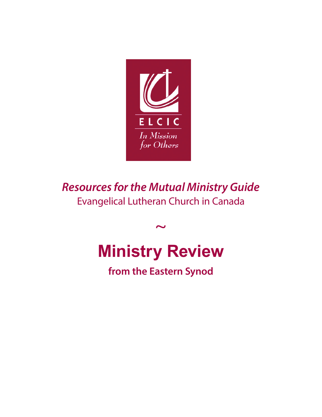

*Resources for the Mutual Ministry Guide* Evangelical Lutheran Church in Canada

# **Ministry Review**

 $\sim$ 

**from the Eastern Synod**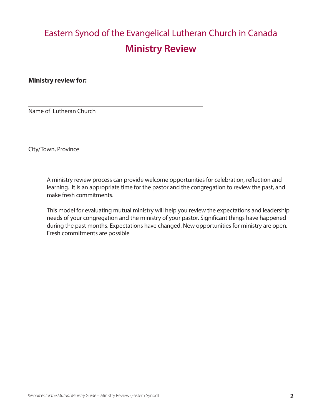# Eastern Synod of the Evangelical Lutheran Church in Canada **Ministry Review**

**Ministry review for:**

Name of Lutheran Church

City/Town, Province

A ministry review process can provide welcome opportunities for celebration, reflection and learning. It is an appropriate time for the pastor and the congregation to review the past, and make fresh commitments.

This model for evaluating mutual ministry will help you review the expectations and leadership needs of your congregation and the ministry of your pastor. Significant things have happened during the past months. Expectations have changed. New opportunities for ministry are open. Fresh commitments are possible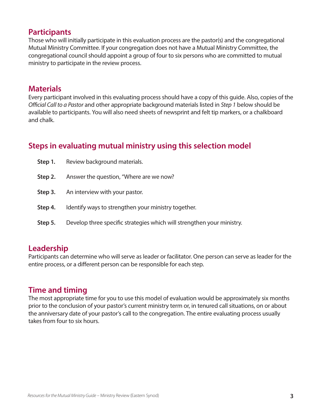#### **Participants**

Those who will initially participate in this evaluation process are the pastor(s) and the congregational Mutual Ministry Committee. If your congregation does not have a Mutual Ministry Committee, the congregational council should appoint a group of four to six persons who are committed to mutual ministry to participate in the review process.

#### **Materials**

Every participant involved in this evaluating process should have a copy of this guide. Also, copies of the *Official Call to a Pastor* and other appropriate background materials listed in *Step 1* below should be available to participants. You will also need sheets of newsprint and felt tip markers, or a chalkboard and chalk.

### **Steps in evaluating mutual ministry using this selection model**

| Step 1. | Review background materials.                                           |
|---------|------------------------------------------------------------------------|
| Step 2. | Answer the question, "Where are we now?                                |
| Step 3. | An interview with your pastor.                                         |
| Step 4. | Identify ways to strengthen your ministry together.                    |
| Step 5. | Develop three specific strategies which will strengthen your ministry. |

#### **Leadership**

Participants can determine who will serve as leader or facilitator. One person can serve as leader for the entire process, or a different person can be responsible for each step.

#### **Time and timing**

The most appropriate time for you to use this model of evaluation would be approximately six months prior to the conclusion of your pastor's current ministry term or, in tenured call situations, on or about the anniversary date of your pastor's call to the congregation. The entire evaluating process usually takes from four to six hours.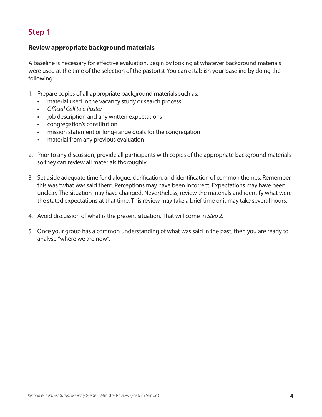#### **Review appropriate background materials**

A baseline is necessary for effective evaluation. Begin by looking at whatever background materials were used at the time of the selection of the pastor(s). You can establish your baseline by doing the following:

- 1. Prepare copies of all appropriate background materials such as:
	- material used in the vacancy study or search process
	- *Official Call to a Pastor*
	- job description and any written expectations
	- congregation's constitution
	- mission statement or long-range goals for the congregation
	- material from any previous evaluation
- 2. Prior to any discussion, provide all participants with copies of the appropriate background materials so they can review all materials thoroughly.
- 3. Set aside adequate time for dialogue, clarification, and identification of common themes. Remember, this was "what was said then". Perceptions may have been incorrect. Expectations may have been unclear. The situation may have changed. Nevertheless, review the materials and identify what were the stated expectations at that time. This review may take a brief time or it may take several hours.
- 4. Avoid discussion of what is the present situation. That will come in *Step 2*.
- 5. Once your group has a common understanding of what was said in the past, then you are ready to analyse "where we are now".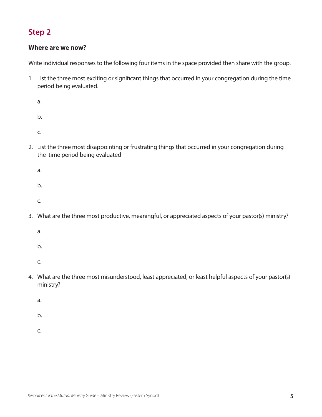#### **Where are we now?**

Write individual responses to the following four items in the space provided then share with the group.

- 1. List the three most exciting or significant things that occurred in your congregation during the time period being evaluated.
	- a.

b.

- c.
- 2. List the three most disappointing or frustrating things that occurred in your congregation during the time period being evaluated
	- a.

b.

- c.
- 3. What are the three most productive, meaningful, or appreciated aspects of your pastor(s) ministry?

a.

b.

c.

4. What are the three most misunderstood, least appreciated, or least helpful aspects of your pastor(s) ministry?

a.

b.

c.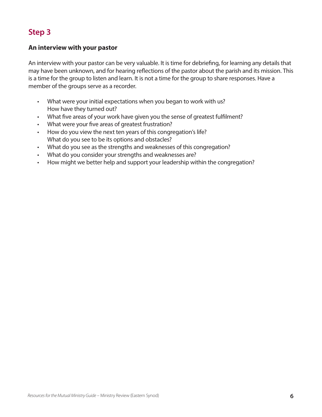#### **An interview with your pastor**

An interview with your pastor can be very valuable. It is time for debriefing, for learning any details that may have been unknown, and for hearing reflections of the pastor about the parish and its mission. This is a time for the group to listen and learn. It is not a time for the group to share responses. Have a member of the groups serve as a recorder.

- What were your initial expectations when you began to work with us? How have they turned out?
- What five areas of your work have given you the sense of greatest fulfilment?
- What were your five areas of greatest frustration?
- How do you view the next ten years of this congregation's life? What do you see to be its options and obstacles?
- What do you see as the strengths and weaknesses of this congregation?
- What do you consider your strengths and weaknesses are?
- How might we better help and support your leadership within the congregation?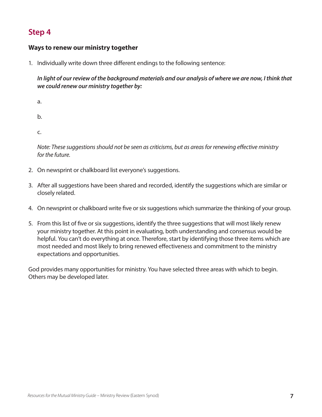#### **Ways to renew our ministry together**

1. Individually write down three different endings to the following sentence:

In light of our review of the background materials and our analysis of where we are now, I think that *we could renew our ministry together by:*

a.

b.

c.

*Note: These suggestions should not be seen as criticisms, but as areas for renewing effective ministry for the future.*

- 2. On newsprint or chalkboard list everyone's suggestions.
- 3. After all suggestions have been shared and recorded, identify the suggestions which are similar or closely related.
- 4. On newsprint or chalkboard write five or six suggestions which summarize the thinking of your group.
- 5. From this list of five or six suggestions, identify the three suggestions that will most likely renew your ministry together. At this point in evaluating, both understanding and consensus would be helpful. You can't do everything at once. Therefore, start by identifying those three items which are most needed and most likely to bring renewed effectiveness and commitment to the ministry expectations and opportunities.

God provides many opportunities for ministry. You have selected three areas with which to begin. Others may be developed later.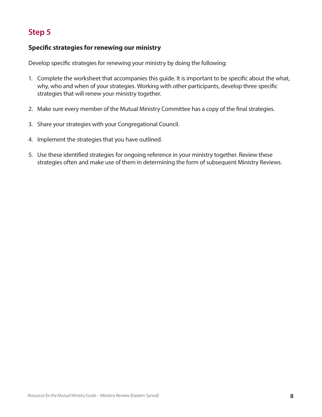#### **Specific strategies for renewing our ministry**

Develop specific strategies for renewing your ministry by doing the following:

- 1. Complete the worksheet that accompanies this guide. It is important to be specific about the what, why, who and when of your strategies. Working with other participants, develop three specific strategies that will renew your ministry together.
- 2. Make sure every member of the Mutual Ministry Committee has a copy of the final strategies.
- 3. Share your strategies with your Congregational Council.
- 4. Implement the strategies that you have outlined.
- 5. Use these identified strategies for ongoing reference in your ministry together. Review these strategies often and make use of them in determining the form of subsequent Ministry Reviews.